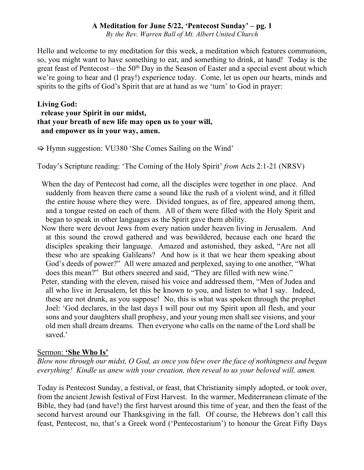*By the Rev. Warren Ball of Mt. Albert United Church*

Hello and welcome to my meditation for this week, a meditation which features communion, so, you might want to have something to eat, and something to drink, at hand! Today is the great feast of Pentecost – the 50<sup>th</sup> Day in the Season of Easter and a special event about which we're going to hear and (I pray!) experience today. Come, let us open our hearts, minds and spirits to the gifts of God's Spirit that are at hand as we 'turn' to God in prayer:

# **Living God: release your Spirit in our midst, that your breath of new life may open us to your will, and empower us in your way, amen.**

 $\Rightarrow$  Hymn suggestion: VU380 'She Comes Sailing on the Wind'

Today's Scripture reading: 'The Coming of the Holy Spirit' *from* Acts 2:1-21 (NRSV)

- When the day of Pentecost had come, all the disciples were together in one place. And suddenly from heaven there came a sound like the rush of a violent wind, and it filled the entire house where they were. Divided tongues, as of fire, appeared among them, and a tongue rested on each of them. All of them were filled with the Holy Spirit and began to speak in other languages as the Spirit gave them ability.
- Now there were devout Jews from every nation under heaven living in Jerusalem. And at this sound the crowd gathered and was bewildered, because each one heard the disciples speaking their language. Amazed and astonished, they asked, "Are not all these who are speaking Galileans? And how is it that we hear them speaking about God's deeds of power?" All were amazed and perplexed, saying to one another, "What does this mean?" But others sneered and said, "They are filled with new wine."
- Peter, standing with the eleven, raised his voice and addressed them, "Men of Judea and all who live in Jerusalem, let this be known to you, and listen to what I say. Indeed, these are not drunk, as you suppose! No, this is what was spoken through the prophet Joel: 'God declares, in the last days I will pour out my Spirit upon all flesh, and your sons and your daughters shall prophesy, and your young men shall see visions, and your old men shall dream dreams. Then everyone who calls on the name of the Lord shall be saved.'

### Sermon: **'She Who Is'**

*Blow now through our midst, O God, as once you blew over the face of nothingness and began everything! Kindle us anew with your creation, then reveal to us your beloved will, amen.*

Today is Pentecost Sunday, a festival, or feast, that Christianity simply adopted, or took over, from the ancient Jewish festival of First Harvest. In the warmer, Mediterranean climate of the Bible, they had (and have!) the first harvest around this time of year, and then the feast of the second harvest around our Thanksgiving in the fall. Of course, the Hebrews don't call this feast, Pentecost, no, that's a Greek word ('Pentecostarium') to honour the Great Fifty Days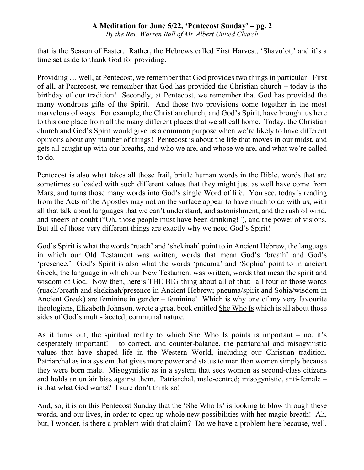*By the Rev. Warren Ball of Mt. Albert United Church*

that is the Season of Easter. Rather, the Hebrews called First Harvest, 'Shavu'ot,' and it's a time set aside to thank God for providing.

Providing … well, at Pentecost, we remember that God provides two things in particular! First of all, at Pentecost, we remember that God has provided the Christian church – today is the birthday of our tradition! Secondly, at Pentecost, we remember that God has provided the many wondrous gifts of the Spirit. And those two provisions come together in the most marvelous of ways. For example, the Christian church, and God's Spirit, have brought us here to this one place from all the many different places that we all call home. Today, the Christian church and God's Spirit would give us a common purpose when we're likely to have different opinions about any number of things! Pentecost is about the life that moves in our midst, and gets all caught up with our breaths, and who we are, and whose we are, and what we're called to do.

Pentecost is also what takes all those frail, brittle human words in the Bible, words that are sometimes so loaded with such different values that they might just as well have come from Mars, and turns those many words into God's single Word of life. You see, today's reading from the Acts of the Apostles may not on the surface appear to have much to do with us, with all that talk about languages that we can't understand, and astonishment, and the rush of wind, and sneers of doubt ("Oh, those people must have been drinking!"), and the power of visions. But all of those very different things are exactly why we need God's Spirit!

God's Spirit is what the words 'ruach' and 'shekinah' point to in Ancient Hebrew, the language in which our Old Testament was written, words that mean God's 'breath' and God's 'presence.' God's Spirit is also what the words 'pneuma' and 'Sophia' point to in ancient Greek, the language in which our New Testament was written, words that mean the spirit and wisdom of God. Now then, here's THE BIG thing about all of that: all four of those words (ruach/breath and shekinah/presence in Ancient Hebrew; pneuma/spirit and Sohia/wisdom in Ancient Greek) are feminine in gender – feminine! Which is why one of my very favourite theologians, Elizabeth Johnson, wrote a great book entitled She Who Is which is all about those sides of God's multi-faceted, communal nature.

As it turns out, the spiritual reality to which She Who Is points is important – no, it's desperately important! – to correct, and counter-balance, the patriarchal and misogynistic values that have shaped life in the Western World, including our Christian tradition. Patriarchal as in a system that gives more power and status to men than women simply because they were born male. Misogynistic as in a system that sees women as second-class citizens and holds an unfair bias against them. Patriarchal, male-centred; misogynistic, anti-female – is that what God wants? I sure don't think so!

And, so, it is on this Pentecost Sunday that the 'She Who Is' is looking to blow through these words, and our lives, in order to open up whole new possibilities with her magic breath! Ah, but, I wonder, is there a problem with that claim? Do we have a problem here because, well,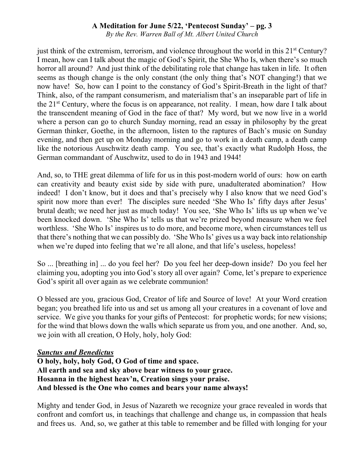*By the Rev. Warren Ball of Mt. Albert United Church*

just think of the extremism, terrorism, and violence throughout the world in this  $21<sup>st</sup>$  Century? I mean, how can I talk about the magic of God's Spirit, the She Who Is, when there's so much horror all around? And just think of the debilitating role that change has taken in life. It often seems as though change is the only constant (the only thing that's NOT changing!) that we now have! So, how can I point to the constancy of God's Spirit-Breath in the light of that? Think, also, of the rampant consumerism, and materialism that's an inseparable part of life in the 21st Century, where the focus is on appearance, not reality. I mean, how dare I talk about the transcendent meaning of God in the face of that? My word, but we now live in a world where a person can go to church Sunday morning, read an essay in philosophy by the great German thinker, Goethe, in the afternoon, listen to the raptures of Bach's music on Sunday evening, and then get up on Monday morning and go to work in a death camp, a death camp like the notorious Auschwitz death camp. You see, that's exactly what Rudolph Hoss, the German commandant of Auschwitz, used to do in 1943 and 1944!

And, so, to THE great dilemma of life for us in this post-modern world of ours: how on earth can creativity and beauty exist side by side with pure, unadulterated abomination? How indeed! I don't know, but it does and that's precisely why I also know that we need God's spirit now more than ever! The disciples sure needed 'She Who Is' fifty days after Jesus' brutal death; we need her just as much today! You see, 'She Who Is' lifts us up when we've been knocked down. 'She Who Is' tells us that we're prized beyond measure when we feel worthless. 'She Who Is' inspires us to do more, and become more, when circumstances tell us that there's nothing that we can possibly do. 'She Who Is' gives us a way back into relationship when we're duped into feeling that we're all alone, and that life's useless, hopeless!

So ... [breathing in] ... do you feel her? Do you feel her deep-down inside? Do you feel her claiming you, adopting you into God's story all over again? Come, let's prepare to experience God's spirit all over again as we celebrate communion!

O blessed are you, gracious God, Creator of life and Source of love! At your Word creation began; you breathed life into us and set us among all your creatures in a covenant of love and service. We give you thanks for your gifts of Pentecost: for prophetic words; for new visions; for the wind that blows down the walls which separate us from you, and one another. And, so, we join with all creation, O Holy, holy, holy God:

### *Sanctus and Benedictus*

**O holy, holy, holy God, O God of time and space. All earth and sea and sky above bear witness to your grace. Hosanna in the highest heav'n, Creation sings your praise. And blessed is the One who comes and bears your name always!**

Mighty and tender God, in Jesus of Nazareth we recognize your grace revealed in words that confront and comfort us, in teachings that challenge and change us, in compassion that heals and frees us. And, so, we gather at this table to remember and be filled with longing for your